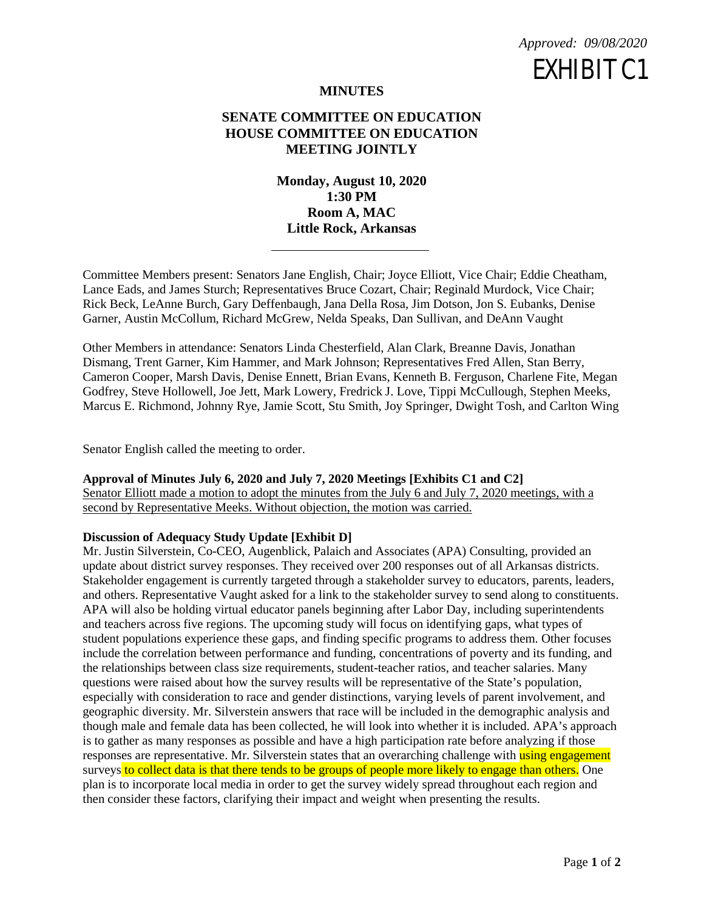

# **MINUTES**

# **SENATE COMMITTEE ON EDUCATION HOUSE COMMITTEE ON EDUCATION MEETING JOINTLY**

**Monday, August 10, 2020 1:30 PM Room A, MAC Little Rock, Arkansas**

Committee Members present: Senators Jane English, Chair; Joyce Elliott, Vice Chair; Eddie Cheatham, Lance Eads, and James Sturch; Representatives Bruce Cozart, Chair; Reginald Murdock, Vice Chair; Rick Beck, LeAnne Burch, Gary Deffenbaugh, Jana Della Rosa, Jim Dotson, Jon S. Eubanks, Denise Garner, Austin McCollum, Richard McGrew, Nelda Speaks, Dan Sullivan, and DeAnn Vaught

Other Members in attendance: Senators Linda Chesterfield, Alan Clark, Breanne Davis, Jonathan Dismang, Trent Garner, Kim Hammer, and Mark Johnson; Representatives Fred Allen, Stan Berry, Cameron Cooper, Marsh Davis, Denise Ennett, Brian Evans, Kenneth B. Ferguson, Charlene Fite, Megan Godfrey, Steve Hollowell, Joe Jett, Mark Lowery, Fredrick J. Love, Tippi McCullough, Stephen Meeks, Marcus E. Richmond, Johnny Rye, Jamie Scott, Stu Smith, Joy Springer, Dwight Tosh, and Carlton Wing

Senator English called the meeting to order.

#### **Approval of Minutes July 6, 2020 and July 7, 2020 Meetings [Exhibits C1 and C2]**

Senator Elliott made a motion to adopt the minutes from the July 6 and July 7, 2020 meetings, with a second by Representative Meeks. Without objection, the motion was carried.

### **Discussion of Adequacy Study Update [Exhibit D]**

Mr. Justin Silverstein, Co-CEO, Augenblick, Palaich and Associates (APA) Consulting, provided an update about district survey responses. They received over 200 responses out of all Arkansas districts. Stakeholder engagement is currently targeted through a stakeholder survey to educators, parents, leaders, and others. Representative Vaught asked for a link to the stakeholder survey to send along to constituents. APA will also be holding virtual educator panels beginning after Labor Day, including superintendents and teachers across five regions. The upcoming study will focus on identifying gaps, what types of student populations experience these gaps, and finding specific programs to address them. Other focuses include the correlation between performance and funding, concentrations of poverty and its funding, and the relationships between class size requirements, student-teacher ratios, and teacher salaries. Many questions were raised about how the survey results will be representative of the State's population, especially with consideration to race and gender distinctions, varying levels of parent involvement, and geographic diversity. Mr. Silverstein answers that race will be included in the demographic analysis and though male and female data has been collected, he will look into whether it is included. APA's approach is to gather as many responses as possible and have a high participation rate before analyzing if those responses are representative. Mr. Silverstein states that an overarching challenge with using engagement surveys to collect data is that there tends to be groups of people more likely to engage than others. One plan is to incorporate local media in order to get the survey widely spread throughout each region and then consider these factors, clarifying their impact and weight when presenting the results.